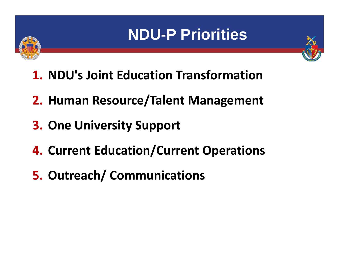## **NDU-P Priorities**





- **1. NDU's Joint Education Transformation**
- **2. Human Resource/Talent Management**
- **3. One University Support**
- **4. Current Education/Current Operations**
- **5. Outreach/ Communications**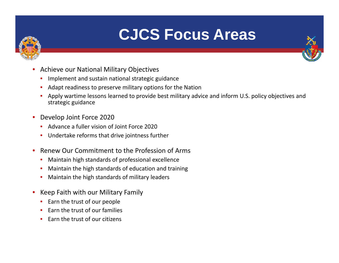

## **CJCS Focus Areas**

- •**•** Achieve our National Military Objectives
	- $\bullet$ Implement and sustain national strategic guidance
	- •Adapt readiness to preserve military options for the Nation
	- • Apply wartime lessons learned to provide best military advice and inform U.S. policy objectives and strategic guidance
- Develop Joint Force 2020
	- Advance a fuller vision of Joint Force 2020
	- Undertake reforms that drive jointness further
- $\bullet$ • Renew Our Commitment to the Profession of Arms
	- •Maintain high standards of professional excellence
	- •Maintain the high standards of education and training
	- •Maintain the high standards of military leaders
- Keep Faith with our Military Family
	- Earn the trust of our people
	- •• Earn the trust of our families
	- •• Earn the trust of our citizens